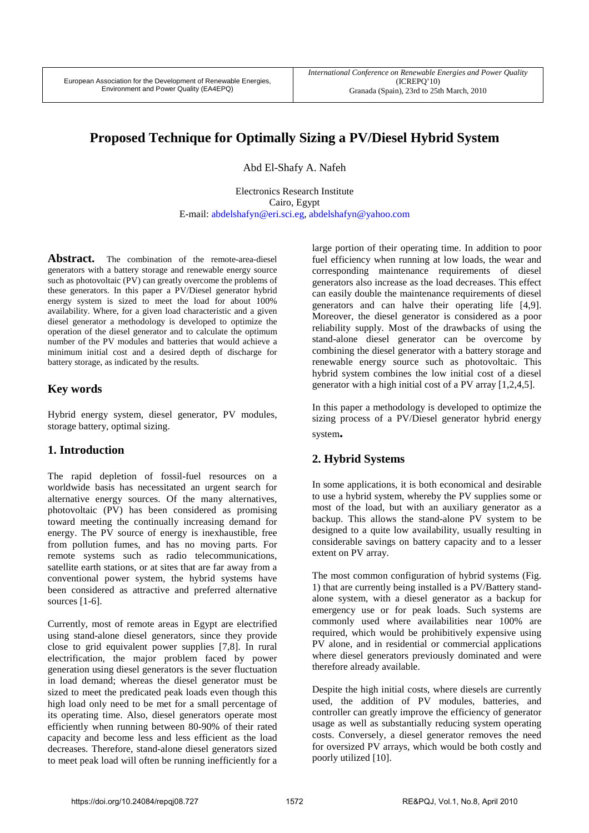# **Proposed Technique for Optimally Sizing a PV/Diesel Hybrid System**

Abd El-Shafy A. Nafeh

Electronics Research Institute Cairo, Egypt E-mail: abdelshafyn@eri.sci.eg, abdelshafyn@yahoo.com

Abstract. The combination of the remote-area-diesel generators with a battery storage and renewable energy source such as photovoltaic (PV) can greatly overcome the problems of these generators. In this paper a PV/Diesel generator hybrid energy system is sized to meet the load for about 100% availability. Where, for a given load characteristic and a given diesel generator a methodology is developed to optimize the operation of the diesel generator and to calculate the optimum number of the PV modules and batteries that would achieve a minimum initial cost and a desired depth of discharge for battery storage, as indicated by the results.

# **Key words**

Hybrid energy system, diesel generator, PV modules, storage battery, optimal sizing.

# **1. Introduction**

The rapid depletion of fossil-fuel resources on a worldwide basis has necessitated an urgent search for alternative energy sources. Of the many alternatives, photovoltaic (PV) has been considered as promising toward meeting the continually increasing demand for energy. The PV source of energy is inexhaustible, free from pollution fumes, and has no moving parts. For remote systems such as radio telecommunications, satellite earth stations, or at sites that are far away from a conventional power system, the hybrid systems have been considered as attractive and preferred alternative sources [1-6].

Currently, most of remote areas in Egypt are electrified using stand-alone diesel generators, since they provide close to grid equivalent power supplies [7,8]. In rural electrification, the major problem faced by power generation using diesel generators is the sever fluctuation in load demand; whereas the diesel generator must be sized to meet the predicated peak loads even though this high load only need to be met for a small percentage of its operating time. Also, diesel generators operate most efficiently when running between 80-90% of their rated capacity and become less and less efficient as the load decreases. Therefore, stand-alone diesel generators sized to meet peak load will often be running inefficiently for a

large portion of their operating time. In addition to poor fuel efficiency when running at low loads, the wear and corresponding maintenance requirements of diesel generators also increase as the load decreases. This effect can easily double the maintenance requirements of diesel generators and can halve their operating life [4,9]. Moreover, the diesel generator is considered as a poor reliability supply. Most of the drawbacks of using the stand-alone diesel generator can be overcome by combining the diesel generator with a battery storage and renewable energy source such as photovoltaic. This hybrid system combines the low initial cost of a diesel generator with a high initial cost of a PV array [1,2,4,5].

In this paper a methodology is developed to optimize the sizing process of a PV/Diesel generator hybrid energy system**.** 

# **2. Hybrid Systems**

In some applications, it is both economical and desirable to use a hybrid system, whereby the PV supplies some or most of the load, but with an auxiliary generator as a backup. This allows the stand-alone PV system to be designed to a quite low availability, usually resulting in considerable savings on battery capacity and to a lesser extent on PV array.

The most common configuration of hybrid systems (Fig. 1) that are currently being installed is a PV/Battery standalone system, with a diesel generator as a backup for emergency use or for peak loads. Such systems are commonly used where availabilities near 100% are required, which would be prohibitively expensive using PV alone, and in residential or commercial applications where diesel generators previously dominated and were therefore already available.

Despite the high initial costs, where diesels are currently used, the addition of PV modules, batteries, and controller can greatly improve the efficiency of generator usage as well as substantially reducing system operating costs. Conversely, a diesel generator removes the need for oversized PV arrays, which would be both costly and poorly utilized [10].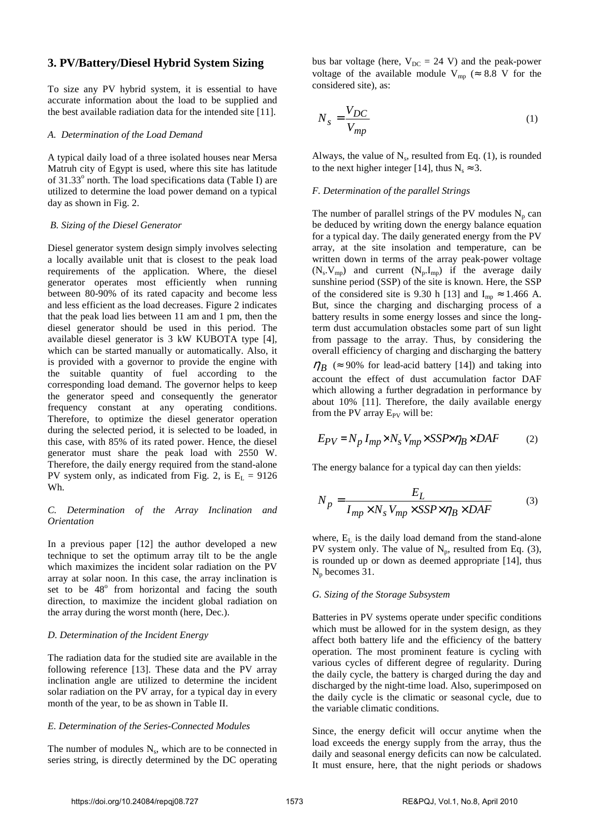### **3. PV/Battery/Diesel Hybrid System Sizing**

To size any PV hybrid system, it is essential to have accurate information about the load to be supplied and the best available radiation data for the intended site [11].

#### *A. Determination of the Load Demand*

A typical daily load of a three isolated houses near Mersa Matruh city of Egypt is used, where this site has latitude of 31.33° north. The load specifications data (Table I) are utilized to determine the load power demand on a typical day as shown in Fig. 2.

#### *B. Sizing of the Diesel Generator*

Diesel generator system design simply involves selecting a locally available unit that is closest to the peak load requirements of the application. Where, the diesel generator operates most efficiently when running between 80-90% of its rated capacity and become less and less efficient as the load decreases. Figure 2 indicates that the peak load lies between 11 am and 1 pm, then the diesel generator should be used in this period. The available diesel generator is 3 kW KUBOTA type [4], which can be started manually or automatically. Also, it is provided with a governor to provide the engine with the suitable quantity of fuel according to the corresponding load demand. The governor helps to keep the generator speed and consequently the generator frequency constant at any operating conditions. Therefore, to optimize the diesel generator operation during the selected period, it is selected to be loaded, in this case, with 85% of its rated power. Hence, the diesel generator must share the peak load with 2550 W. Therefore, the daily energy required from the stand-alone PV system only, as indicated from Fig. 2, is  $E_L = 9126$ Wh.

#### *C. Determination of the Array Inclination and Orientation*

In a previous paper [12] the author developed a new technique to set the optimum array tilt to be the angle which maximizes the incident solar radiation on the PV array at solar noon. In this case, the array inclination is set to be  $48^\circ$  from horizontal and facing the south direction, to maximize the incident global radiation on the array during the worst month (here, Dec.).

#### *D. Determination of the Incident Energy*

The radiation data for the studied site are available in the following reference [13]. These data and the PV array inclination angle are utilized to determine the incident solar radiation on the PV array, for a typical day in every month of the year, to be as shown in Table II.

#### *E. Determination of the Series-Connected Modules*

The number of modules  $N_s$ , which are to be connected in series string, is directly determined by the DC operating

bus bar voltage (here,  $V_{DC} = 24$  V) and the peak-power voltage of the available module  $V_{mn}$  ( $\approx 8.8$  V for the considered site), as:

$$
N_s = \frac{V_{DC}}{V_{mp}}\tag{1}
$$

Always, the value of  $N_s$ , resulted from Eq. (1), is rounded to the next higher integer [14], thus  $N_s \approx 3$ .

#### *F. Determination of the parallel Strings*

The number of parallel strings of the PV modules  $N_p$  can be deduced by writing down the energy balance equation for a typical day. The daily generated energy from the PV array, at the site insolation and temperature, can be written down in terms of the array peak-power voltage  $(N_s, V_{mp})$  and current  $(N_p, I_{mp})$  if the average daily sunshine period (SSP) of the site is known. Here, the SSP of the considered site is 9.30 h [13] and  $I_{mp} \approx 1.466$  A. But, since the charging and discharging process of a battery results in some energy losses and since the longterm dust accumulation obstacles some part of sun light from passage to the array. Thus, by considering the overall efficiency of charging and discharging the battery  $\eta_B$  ( $\approx$  90% for lead-acid battery [14]) and taking into

account the effect of dust accumulation factor DAF which allowing a further degradation in performance by about 10% [11]. Therefore, the daily available energy from the PV array  $E_{PV}$  will be:

$$
E_{PV} = N_p I_{mp} \times N_s V_{mp} \times SSP \times \eta_B \times DAF
$$
 (2)

The energy balance for a typical day can then yields:

$$
N_p = \frac{E_L}{I_{mp} \times N_s V_{mp} \times SSP \times \eta_B \times DAF}
$$
 (3)

where,  $E<sub>L</sub>$  is the daily load demand from the stand-alone PV system only. The value of  $N_p$ , resulted from Eq. (3), is rounded up or down as deemed appropriate [14], thus  $N_p$  becomes 31.

#### *G. Sizing of the Storage Subsystem*

Batteries in PV systems operate under specific conditions which must be allowed for in the system design, as they affect both battery life and the efficiency of the battery operation. The most prominent feature is cycling with various cycles of different degree of regularity. During the daily cycle, the battery is charged during the day and discharged by the night-time load. Also, superimposed on the daily cycle is the climatic or seasonal cycle, due to the variable climatic conditions.

Since, the energy deficit will occur anytime when the load exceeds the energy supply from the array, thus the daily and seasonal energy deficits can now be calculated. It must ensure, here, that the night periods or shadows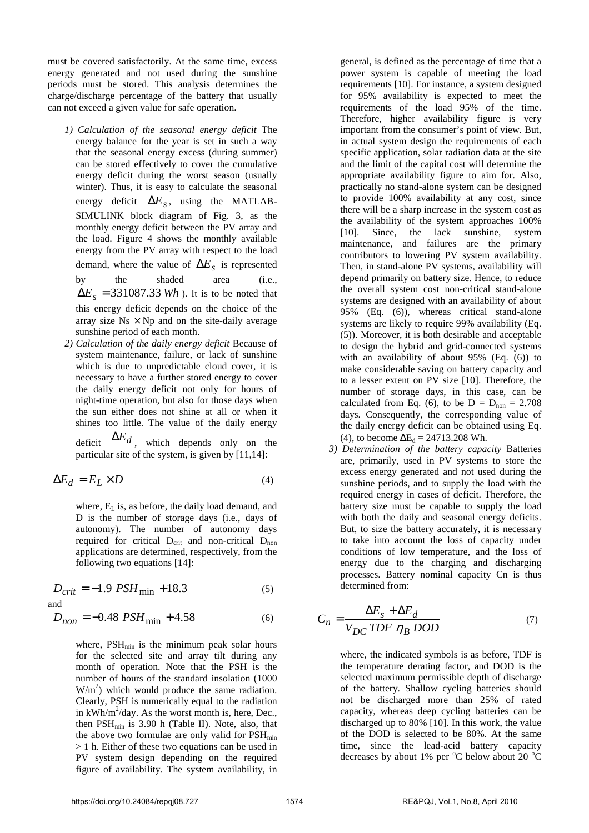must be covered satisfactorily. At the same time, excess energy generated and not used during the sunshine periods must be stored. This analysis determines the charge/discharge percentage of the battery that usually can not exceed a given value for safe operation.

- *1) Calculation of the seasonal energy deficit* The energy balance for the year is set in such a way that the seasonal energy excess (during summer) can be stored effectively to cover the cumulative energy deficit during the worst season (usually winter). Thus, it is easy to calculate the seasonal energy deficit  $\Delta E_s$ , using the MATLAB-SIMULINK block diagram of Fig. 3, as the monthly energy deficit between the PV array and the load. Figure 4 shows the monthly available energy from the PV array with respect to the load demand, where the value of  $\Delta E_s$  is represented by the shaded area (i.e.,  $\Delta E_s = 331087.33$  Wh ). It is to be noted that this energy deficit depends on the choice of the array size  $Ns \times Np$  and on the site-daily average sunshine period of each month.
- *2) Calculation of the daily energy deficit* Because of system maintenance, failure, or lack of sunshine which is due to unpredictable cloud cover, it is necessary to have a further stored energy to cover the daily energy deficit not only for hours of night-time operation, but also for those days when the sun either does not shine at all or when it shines too little. The value of the daily energy

deficit ∆*E<sup>d</sup>* , which depends only on the particular site of the system, is given by [11,14]:

$$
\Delta E_d = E_L \times D \tag{4}
$$

where,  $E<sub>L</sub>$  is, as before, the daily load demand, and D is the number of storage days (i.e., days of autonomy). The number of autonomy days required for critical  $D_{\text{crit}}$  and non-critical  $D_{\text{non}}$ applications are determined, respectively, from the following two equations [14]:

 $D_{crit} = -1.9 \text{ PSH}_{min} + 18.3$  (5) and

 $D_{non} = -0.48$  *PSH*<sub>min</sub> + 4.58 (6)

where,  $PSH<sub>min</sub>$  is the minimum peak solar hours for the selected site and array tilt during any month of operation. Note that the PSH is the number of hours of the standard insolation (1000  $W/m<sup>2</sup>$ ) which would produce the same radiation. Clearly, PSH is numerically equal to the radiation in  $kWh/m^2$ /day. As the worst month is, here, Dec., then  $PSH<sub>min</sub>$  is 3.90 h (Table II). Note, also, that the above two formulae are only valid for  $PSH_{min}$ > 1 h. Either of these two equations can be used in PV system design depending on the required figure of availability. The system availability, in

general, is defined as the percentage of time that a power system is capable of meeting the load requirements [10]. For instance, a system designed for 95% availability is expected to meet the requirements of the load 95% of the time. Therefore, higher availability figure is very important from the consumer's point of view. But, in actual system design the requirements of each specific application, solar radiation data at the site and the limit of the capital cost will determine the appropriate availability figure to aim for. Also, practically no stand-alone system can be designed to provide 100% availability at any cost, since there will be a sharp increase in the system cost as the availability of the system approaches 100% [10]. Since, the lack sunshine, system maintenance, and failures are the primary contributors to lowering PV system availability. Then, in stand-alone PV systems, availability will depend primarily on battery size. Hence, to reduce the overall system cost non-critical stand-alone systems are designed with an availability of about 95% (Eq. (6)), whereas critical stand-alone systems are likely to require 99% availability (Eq. (5)). Moreover, it is both desirable and acceptable to design the hybrid and grid-connected systems with an availability of about 95% (Eq. (6)) to make considerable saving on battery capacity and to a lesser extent on PV size [10]. Therefore, the number of storage days, in this case, can be calculated from Eq. (6), to be  $D = D_{\text{non}} = 2.708$ days. Consequently, the corresponding value of the daily energy deficit can be obtained using Eq. (4), to become  $\Delta E_d = 24713.208$  Wh.

*3) Determination of the battery capacity* Batteries are, primarily, used in PV systems to store the excess energy generated and not used during the sunshine periods, and to supply the load with the required energy in cases of deficit. Therefore, the battery size must be capable to supply the load with both the daily and seasonal energy deficits. But, to size the battery accurately, it is necessary to take into account the loss of capacity under conditions of low temperature, and the loss of energy due to the charging and discharging processes. Battery nominal capacity Cn is thus determined from:

$$
C_n = \frac{\Delta E_s + \Delta E_d}{V_{DC} \, TDF \, \eta_B \, DOD} \tag{7}
$$

where, the indicated symbols is as before, TDF is the temperature derating factor, and DOD is the selected maximum permissible depth of discharge of the battery. Shallow cycling batteries should not be discharged more than 25% of rated capacity, whereas deep cycling batteries can be discharged up to 80% [10]. In this work, the value of the DOD is selected to be 80%. At the same time, since the lead-acid battery capacity decreases by about 1% per  $^{\circ}$ C below about 20  $^{\circ}$ C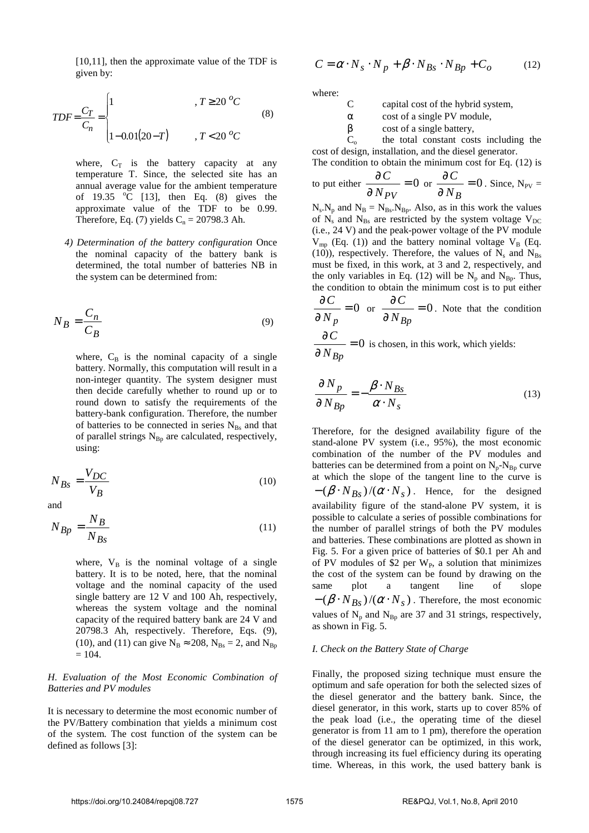[10,11], then the approximate value of the TDF is given by:

$$
TDF = \frac{C_T}{C_n} = \begin{cases} 1 & , T \ge 20 \, ^oC \\ & \\ 1 - 0.01(20 - T) & , T < 20 \, ^oC \end{cases} \tag{8}
$$

where,  $C_T$  is the battery capacity at any temperature T. Since, the selected site has an annual average value for the ambient temperature of 19.35  $\degree$ C [13], then Eq. (8) gives the approximate value of the TDF to be 0.99. Therefore, Eq. (7) yields  $C_n = 20798.3$  Ah.

*4) Determination of the battery configuration* Once the nominal capacity of the battery bank is determined, the total number of batteries NB in the system can be determined from:

$$
N_B = \frac{C_n}{C_B} \tag{9}
$$

where,  $C_B$  is the nominal capacity of a single battery. Normally, this computation will result in a non-integer quantity. The system designer must then decide carefully whether to round up or to round down to satisfy the requirements of the battery-bank configuration. Therefore, the number of batteries to be connected in series  $N_{\text{Bs}}$  and that of parallel strings  $N_{Bp}$  are calculated, respectively, using:

$$
N_{Bs} = \frac{V_{DC}}{V_B} \tag{10}
$$

and

$$
N_{Bp} = \frac{N_B}{N_{Bs}}\tag{11}
$$

where,  $V_B$  is the nominal voltage of a single battery. It is to be noted, here, that the nominal voltage and the nominal capacity of the used single battery are 12 V and 100 Ah, respectively, whereas the system voltage and the nominal capacity of the required battery bank are 24 V and 20798.3 Ah, respectively. Therefore, Eqs. (9), (10), and (11) can give  $N_B \approx 208$ ,  $N_{Bs} = 2$ , and  $N_{Bp}$  $= 104.$ 

#### *H. Evaluation of the Most Economic Combination of Batteries and PV modules*

It is necessary to determine the most economic number of the PV/Battery combination that yields a minimum cost of the system. The cost function of the system can be defined as follows [3]:

$$
C = \alpha \cdot N_s \cdot N_p + \beta \cdot N_{Bs} \cdot N_{Bp} + C_o \tag{12}
$$

where:

C capital cost of the hybrid system,

 $\alpha$  cost of a single PV module.

 $β$  cost of a single battery,

 $C<sub>o</sub>$  the total constant costs including the cost of design, installation, and the diesel generator.

The condition to obtain the minimum cost for Eq. (12) is

to put either 
$$
\frac{\partial C}{\partial N_{PV}} = 0
$$
 or  $\frac{\partial C}{\partial N_B} = 0$ . Since, N<sub>PV</sub> =

 $N_s$ ,  $N_p$  and  $N_B = N_{Bs}$ ,  $N_{Bp}$ . Also, as in this work the values of  $N_s$  and  $N_{Bs}$  are restricted by the system voltage  $V_{DC}$ (i.e., 24 V) and the peak-power voltage of the PV module  $V_{mp}$  (Eq. (1)) and the battery nominal voltage  $V_B$  (Eq. (10)), respectively. Therefore, the values of  $N_s$  and  $N_{Bs}$ must be fixed, in this work, at 3 and 2, respectively, and the only variables in Eq. (12) will be  $N_p$  and  $N_{Bp}$ . Thus, the condition to obtain the minimum cost is to put either

$$
\frac{\partial C}{\partial N_p} = 0 \text{ or } \frac{\partial C}{\partial N_{Bp}} = 0.
$$
 Note that the condition

 $= 0$ ∂ ∂ *NBp*  $\frac{C}{C}$  = 0 is chosen, in this work, which yields:

$$
\frac{\partial N_p}{\partial N_{Bp}} = -\frac{\beta \cdot N_{Bs}}{\alpha \cdot N_s} \tag{13}
$$

Therefore, for the designed availability figure of the stand-alone PV system (i.e., 95%), the most economic combination of the number of the PV modules and batteries can be determined from a point on  $N_p-N_{Bp}$  curve at which the slope of the tangent line to the curve is  $-(\beta \cdot N_{Bs})/(\alpha \cdot N_s)$ . Hence, for the designed availability figure of the stand-alone PV system, it is possible to calculate a series of possible combinations for the number of parallel strings of both the PV modules and batteries. These combinations are plotted as shown in Fig. 5. For a given price of batteries of \$0.1 per Ah and of PV modules of \$2 per  $W_{P}$ , a solution that minimizes the cost of the system can be found by drawing on the same plot a tangent line of slope  $-(\beta \cdot N_{Bs})/(\alpha \cdot N_s)$ . Therefore, the most economic values of  $N_p$  and  $N_{Bp}$  are 37 and 31 strings, respectively, as shown in Fig. 5.

#### *I. Check on the Battery State of Charge*

Finally, the proposed sizing technique must ensure the optimum and safe operation for both the selected sizes of the diesel generator and the battery bank. Since, the diesel generator, in this work, starts up to cover 85% of the peak load (i.e., the operating time of the diesel generator is from 11 am to 1 pm), therefore the operation of the diesel generator can be optimized, in this work, through increasing its fuel efficiency during its operating time. Whereas, in this work, the used battery bank is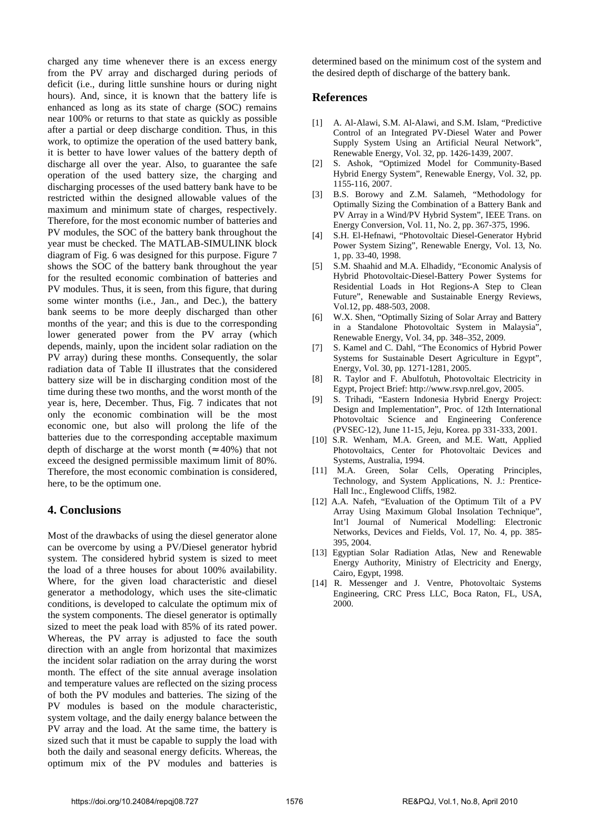charged any time whenever there is an excess energy from the PV array and discharged during periods of deficit (i.e., during little sunshine hours or during night hours). And, since, it is known that the battery life is enhanced as long as its state of charge (SOC) remains near 100% or returns to that state as quickly as possible after a partial or deep discharge condition. Thus, in this work, to optimize the operation of the used battery bank, it is better to have lower values of the battery depth of discharge all over the year. Also, to guarantee the safe operation of the used battery size, the charging and discharging processes of the used battery bank have to be restricted within the designed allowable values of the maximum and minimum state of charges, respectively. Therefore, for the most economic number of batteries and PV modules, the SOC of the battery bank throughout the year must be checked. The MATLAB-SIMULINK block diagram of Fig. 6 was designed for this purpose. Figure 7 shows the SOC of the battery bank throughout the year for the resulted economic combination of batteries and PV modules. Thus, it is seen, from this figure, that during some winter months (i.e., Jan., and Dec.), the battery bank seems to be more deeply discharged than other months of the year; and this is due to the corresponding lower generated power from the PV array (which depends, mainly, upon the incident solar radiation on the PV array) during these months. Consequently, the solar radiation data of Table II illustrates that the considered battery size will be in discharging condition most of the time during these two months, and the worst month of the year is, here, December. Thus, Fig. 7 indicates that not only the economic combination will be the most economic one, but also will prolong the life of the batteries due to the corresponding acceptable maximum depth of discharge at the worst month ( $\approx 40\%$ ) that not exceed the designed permissible maximum limit of 80%. Therefore, the most economic combination is considered, here, to be the optimum one.

### **4. Conclusions**

Most of the drawbacks of using the diesel generator alone can be overcome by using a PV/Diesel generator hybrid system. The considered hybrid system is sized to meet the load of a three houses for about 100% availability. Where, for the given load characteristic and diesel generator a methodology, which uses the site-climatic conditions, is developed to calculate the optimum mix of the system components. The diesel generator is optimally sized to meet the peak load with 85% of its rated power. Whereas, the PV array is adjusted to face the south direction with an angle from horizontal that maximizes the incident solar radiation on the array during the worst month. The effect of the site annual average insolation and temperature values are reflected on the sizing process of both the PV modules and batteries. The sizing of the PV modules is based on the module characteristic, system voltage, and the daily energy balance between the PV array and the load. At the same time, the battery is sized such that it must be capable to supply the load with both the daily and seasonal energy deficits. Whereas, the optimum mix of the PV modules and batteries is determined based on the minimum cost of the system and the desired depth of discharge of the battery bank.

### **References**

- [1] A. Al-Alawi, S.M. Al-Alawi, and S.M. Islam, "Predictive Control of an Integrated PV-Diesel Water and Power Supply System Using an Artificial Neural Network", Renewable Energy, Vol. 32, pp. 1426-1439, 2007.
- [2] S. Ashok, "Optimized Model for Community-Based Hybrid Energy System", Renewable Energy, Vol. 32, pp. 1155-116, 2007.
- [3] B.S. Borowy and Z.M. Salameh, "Methodology for Optimally Sizing the Combination of a Battery Bank and PV Array in a Wind/PV Hybrid System", IEEE Trans. on Energy Conversion, Vol. 11, No. 2, pp. 367-375, 1996.
- [4] S.H. El-Hefnawi, "Photovoltaic Diesel-Generator Hybrid Power System Sizing", Renewable Energy, Vol. 13, No. 1, pp. 33-40, 1998.
- [5] S.M. Shaahid and M.A. Elhadidy, "Economic Analysis of Hybrid Photovoltaic-Diesel-Battery Power Systems for Residential Loads in Hot Regions-A Step to Clean Future", Renewable and Sustainable Energy Reviews, Vol.12, pp. 488-503, 2008.
- [6] W.X. Shen, "Optimally Sizing of Solar Array and Battery in a Standalone Photovoltaic System in Malaysia", Renewable Energy, Vol. 34, pp. 348–352, 2009.
- [7] S. Kamel and C. Dahl, "The Economics of Hybrid Power Systems for Sustainable Desert Agriculture in Egypt", Energy, Vol. 30, pp. 1271-1281, 2005.
- [8] R. Taylor and F. Abulfotuh, Photovoltaic Electricity in Egypt, Project Brief: http://www.rsvp.nrel.gov, 2005.
- [9] S. Trihadi, "Eastern Indonesia Hybrid Energy Project: Design and Implementation", Proc. of 12th International Photovoltaic Science and Engineering Conference (PVSEC-12), June 11-15, Jeju, Korea. pp 331-333, 2001.
- [10] S.R. Wenham, M.A. Green, and M.E. Watt, Applied Photovoltaics, Center for Photovoltaic Devices and Systems, Australia, 1994.
- [11] M.A. Green, Solar Cells, Operating Principles, Technology, and System Applications, N. J.: Prentice-Hall Inc., Englewood Cliffs, 1982.
- [12] A.A. Nafeh, "Evaluation of the Optimum Tilt of a PV Array Using Maximum Global Insolation Technique", Int'l Journal of Numerical Modelling: Electronic Networks, Devices and Fields, Vol. 17, No. 4, pp. 385- 395, 2004.
- [13] Egyptian Solar Radiation Atlas, New and Renewable Energy Authority, Ministry of Electricity and Energy, Cairo, Egypt, 1998.
- [14] R. Messenger and J. Ventre, Photovoltaic Systems Engineering, CRC Press LLC, Boca Raton, FL, USA, 2000.